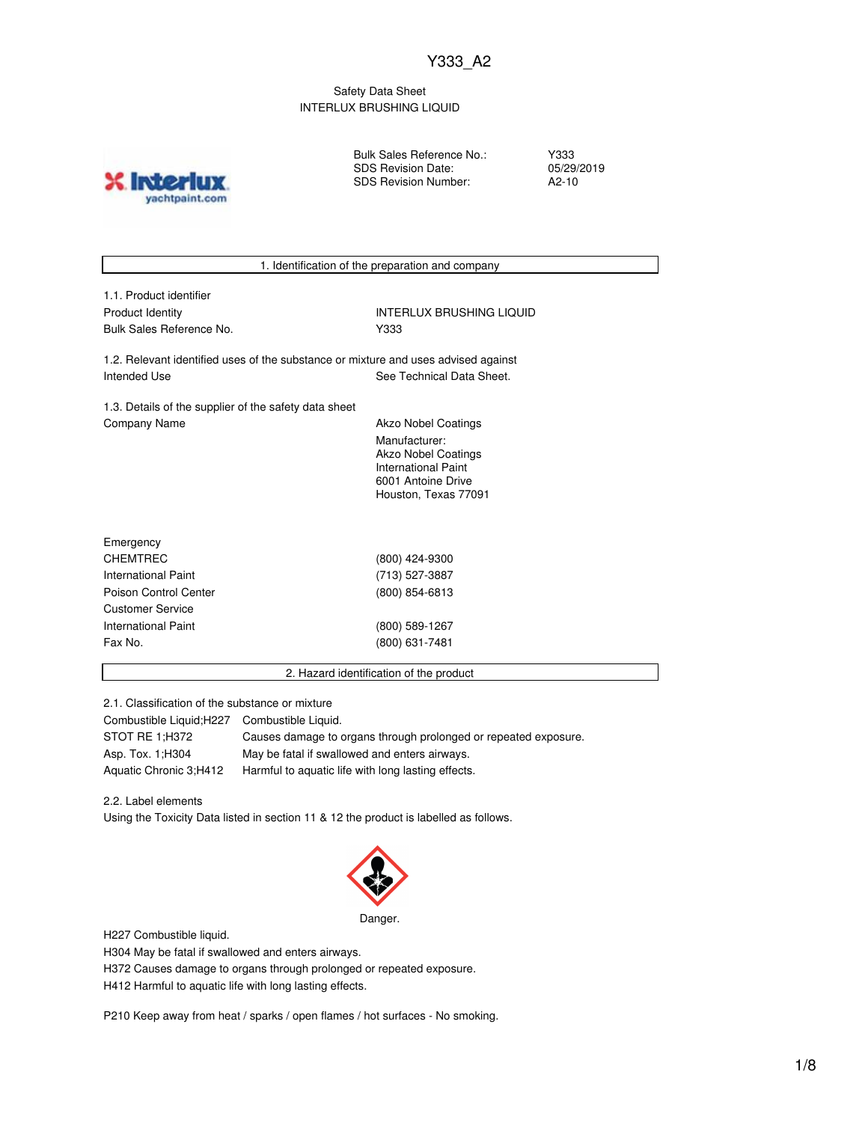#### Safety Data Sheet INTERLUX BRUSHING LIQUID

Bulk Sales Reference No.: SDS Revision Date: SDS Revision Number:

Y333 05/29/2019 A2-10



2.1. Classification of the substance or mixture

Combustible Liquid;H227 Combustible Liquid. STOT RE 1;H372 Causes damage to organs through prolonged or repeated exposure.

Asp. Tox. 1;H304 May be fatal if swallowed and enters airways. Aquatic Chronic 3;H412 Harmful to aquatic life with long lasting effects.

2.2. Label elements

Using the Toxicity Data listed in section 11 & 12 the product is labelled as follows.



H227 Combustible liquid.

H304 May be fatal if swallowed and enters airways.

H372 Causes damage to organs through prolonged or repeated exposure.

H412 Harmful to aquatic life with long lasting effects.

P210 Keep away from heat / sparks / open flames / hot surfaces - No smoking.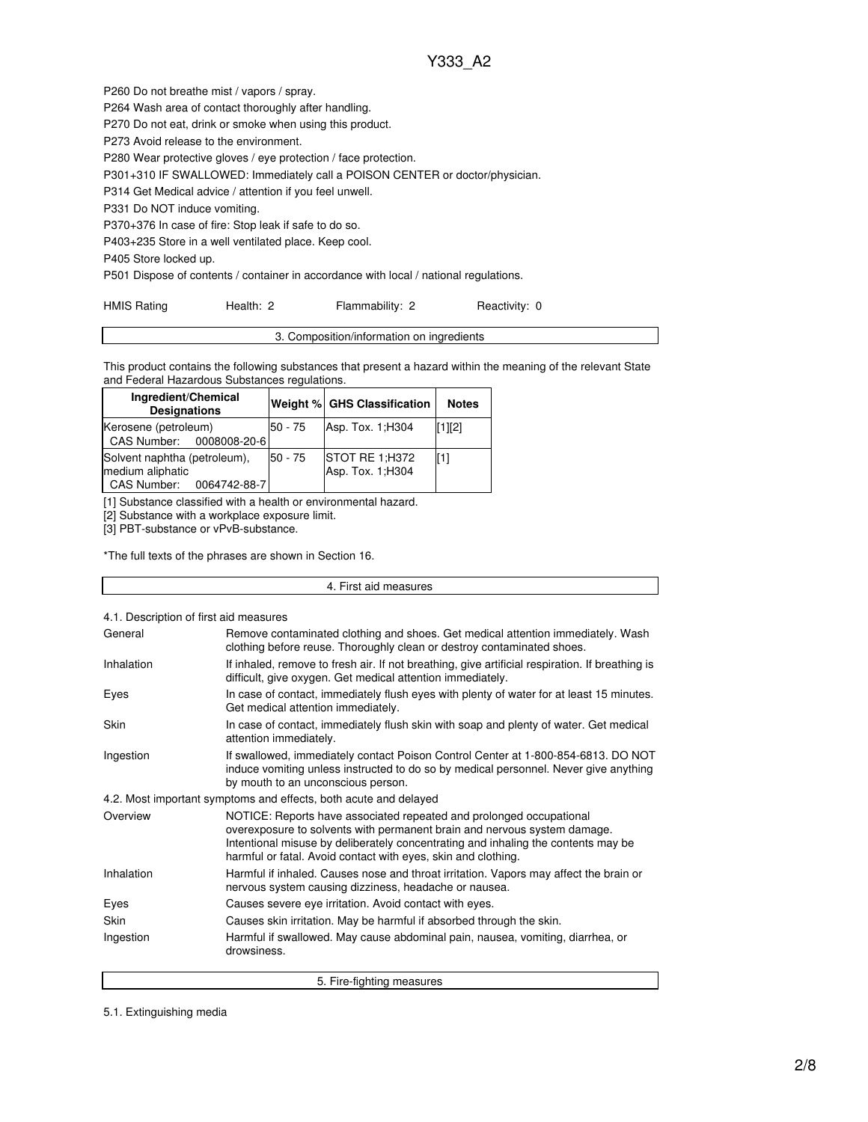P260 Do not breathe mist / vapors / spray. P264 Wash area of contact thoroughly after handling. P270 Do not eat, drink or smoke when using this product. P273 Avoid release to the environment. P280 Wear protective gloves / eye protection / face protection. P301+310 IF SWALLOWED: Immediately call a POISON CENTER or doctor/physician. P314 Get Medical advice / attention if you feel unwell. P331 Do NOT induce vomiting. P370+376 In case of fire: Stop leak if safe to do so. P403+235 Store in a well ventilated place. Keep cool. P405 Store locked up.

P501 Dispose of contents / container in accordance with local / national regulations.

| <b>HMIS Rating</b> | Health: 2 | Flammability: 2 | Reactivity: 0 |
|--------------------|-----------|-----------------|---------------|
|                    |           |                 |               |

| 3. Composition/information on ingredients |  |
|-------------------------------------------|--|
|                                           |  |

This product contains the following substances that present a hazard within the meaning of the relevant State and Federal Hazardous Substances regulations.

| Ingredient/Chemical<br><b>Designations</b>                                   |         | Weight % GHS Classification         | <b>Notes</b> |
|------------------------------------------------------------------------------|---------|-------------------------------------|--------------|
| Kerosene (petroleum)<br>CAS Number: 0008008-20-6                             | 50 - 75 | Asp. Tox. 1; H304                   | $[1]$ [2]    |
| Solvent naphtha (petroleum),<br>medium aliphatic<br>CAS Number: 0064742-88-7 | 50 - 75 | STOT RE 1;H372<br>Asp. Tox. 1; H304 | lſ11         |

[1] Substance classified with a health or environmental hazard.

[2] Substance with a workplace exposure limit.

[3] PBT-substance or vPvB-substance.

\*The full texts of the phrases are shown in Section 16.

| 4. First aid measures                                            |                                                                                                                                                                                                                                                                                                       |  |  |  |
|------------------------------------------------------------------|-------------------------------------------------------------------------------------------------------------------------------------------------------------------------------------------------------------------------------------------------------------------------------------------------------|--|--|--|
| 4.1. Description of first aid measures                           |                                                                                                                                                                                                                                                                                                       |  |  |  |
|                                                                  |                                                                                                                                                                                                                                                                                                       |  |  |  |
| General                                                          | Remove contaminated clothing and shoes. Get medical attention immediately. Wash<br>clothing before reuse. Thoroughly clean or destroy contaminated shoes.                                                                                                                                             |  |  |  |
| Inhalation                                                       | If inhaled, remove to fresh air. If not breathing, give artificial respiration. If breathing is<br>difficult, give oxygen. Get medical attention immediately.                                                                                                                                         |  |  |  |
| Eyes                                                             | In case of contact, immediately flush eyes with plenty of water for at least 15 minutes.<br>Get medical attention immediately.                                                                                                                                                                        |  |  |  |
| Skin                                                             | In case of contact, immediately flush skin with soap and plenty of water. Get medical<br>attention immediately.                                                                                                                                                                                       |  |  |  |
| Ingestion                                                        | If swallowed, immediately contact Poison Control Center at 1-800-854-6813. DO NOT<br>induce vomiting unless instructed to do so by medical personnel. Never give anything<br>by mouth to an unconscious person.                                                                                       |  |  |  |
| 4.2. Most important symptoms and effects, both acute and delayed |                                                                                                                                                                                                                                                                                                       |  |  |  |
| Overview                                                         | NOTICE: Reports have associated repeated and prolonged occupational<br>overexposure to solvents with permanent brain and nervous system damage.<br>Intentional misuse by deliberately concentrating and inhaling the contents may be<br>harmful or fatal. Avoid contact with eyes, skin and clothing. |  |  |  |
| Inhalation                                                       | Harmful if inhaled. Causes nose and throat irritation. Vapors may affect the brain or<br>nervous system causing dizziness, headache or nausea.                                                                                                                                                        |  |  |  |
| Eyes                                                             | Causes severe eye irritation. Avoid contact with eyes.                                                                                                                                                                                                                                                |  |  |  |
| Skin                                                             | Causes skin irritation. May be harmful if absorbed through the skin.                                                                                                                                                                                                                                  |  |  |  |
| Ingestion                                                        | Harmful if swallowed. May cause abdominal pain, nausea, vomiting, diarrhea, or<br>drowsiness.                                                                                                                                                                                                         |  |  |  |
|                                                                  | 5. Fire-fighting measures                                                                                                                                                                                                                                                                             |  |  |  |

5.1. Extinguishing media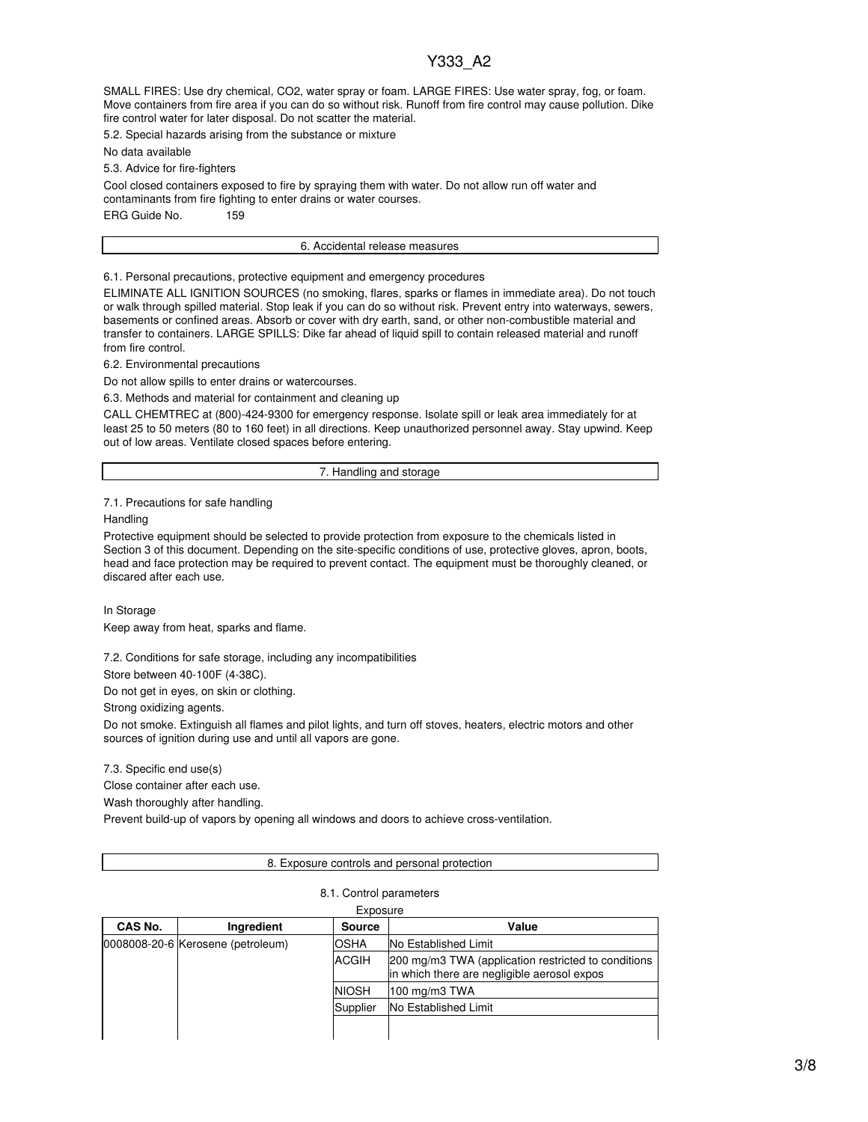SMALL FIRES: Use dry chemical, CO2, water spray or foam. LARGE FIRES: Use water spray, fog, or foam. Move containers from fire area if you can do so without risk. Runoff from fire control may cause pollution. Dike fire control water for later disposal. Do not scatter the material.

5.2. Special hazards arising from the substance or mixture

No data available

5.3. Advice for fire-fighters

Cool closed containers exposed to fire by spraying them with water. Do not allow run off water and contaminants from fire fighting to enter drains or water courses. ERG Guide No. 159

6. Accidental release measures

6.1. Personal precautions, protective equipment and emergency procedures

ELIMINATE ALL IGNITION SOURCES (no smoking, flares, sparks or flames in immediate area). Do not touch or walk through spilled material. Stop leak if you can do so without risk. Prevent entry into waterways, sewers, basements or confined areas. Absorb or cover with dry earth, sand, or other non-combustible material and transfer to containers. LARGE SPILLS: Dike far ahead of liquid spill to contain released material and runoff from fire control.

6.2. Environmental precautions

Do not allow spills to enter drains or watercourses.

6.3. Methods and material for containment and cleaning up

CALL CHEMTREC at (800)-424-9300 for emergency response. Isolate spill or leak area immediately for at least 25 to 50 meters (80 to 160 feet) in all directions. Keep unauthorized personnel away. Stay upwind. Keep out of low areas. Ventilate closed spaces before entering.

7. Handling and storage

7.1. Precautions for safe handling

**Handling** 

Protective equipment should be selected to provide protection from exposure to the chemicals listed in Section 3 of this document. Depending on the site-specific conditions of use, protective gloves, apron, boots, head and face protection may be required to prevent contact. The equipment must be thoroughly cleaned, or discared after each use.

In Storage

Keep away from heat, sparks and flame.

7.2. Conditions for safe storage, including any incompatibilities

Store between 40-100F (4-38C).

Do not get in eyes, on skin or clothing.

Strong oxidizing agents.

Do not smoke. Extinguish all flames and pilot lights, and turn off stoves, heaters, electric motors and other sources of ignition during use and until all vapors are gone.

7.3. Specific end use(s)

Close container after each use.

Wash thoroughly after handling.

Prevent build-up of vapors by opening all windows and doors to achieve cross-ventilation.

#### 8. Exposure controls and personal protection

| Exposure |                                   |               |                                                                                                    |  |
|----------|-----------------------------------|---------------|----------------------------------------------------------------------------------------------------|--|
| CAS No.  | Ingredient                        | <b>Source</b> | Value                                                                                              |  |
|          | 0008008-20-6 Kerosene (petroleum) | OSHA          | No Established Limit                                                                               |  |
|          |                                   | <b>ACGIH</b>  | 200 mg/m3 TWA (application restricted to conditions<br>in which there are negligible aerosol expos |  |
|          |                                   | <b>NIOSH</b>  | 100 mg/m3 TWA                                                                                      |  |
|          |                                   | Supplier      | No Established Limit                                                                               |  |
|          |                                   |               |                                                                                                    |  |

# 8.1. Control parameters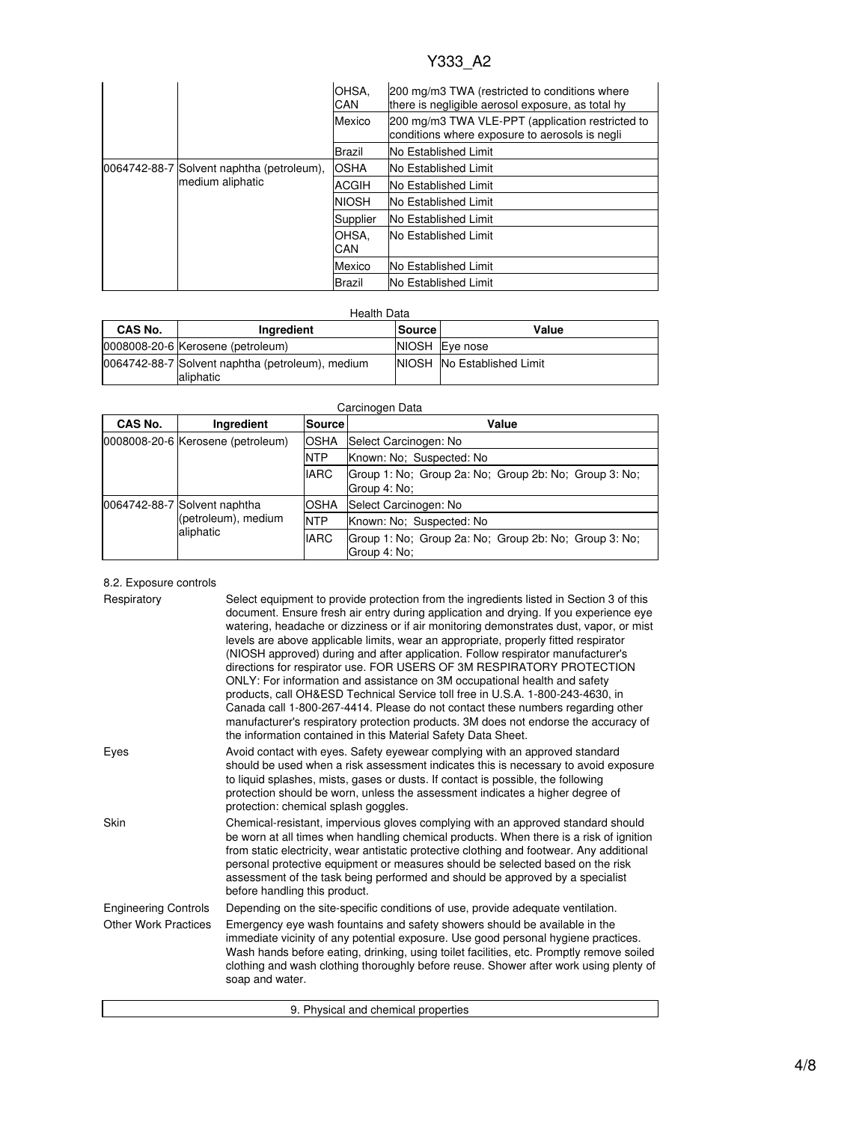|                                                               |             | OHSA.<br>CAN                | 200 mg/m3 TWA (restricted to conditions where<br>there is negligible aerosol exposure, as total hy |
|---------------------------------------------------------------|-------------|-----------------------------|----------------------------------------------------------------------------------------------------|
|                                                               |             | Mexico                      | 200 mg/m3 TWA VLE-PPT (application restricted to<br>conditions where exposure to aerosols is negli |
|                                                               |             | Brazil                      | <b>No Established Limit</b>                                                                        |
| 0064742-88-7 Solvent naphtha (petroleum),<br>medium aliphatic | <b>OSHA</b> | <b>No Established Limit</b> |                                                                                                    |
|                                                               | ACGIH       | <b>No Established Limit</b> |                                                                                                    |
|                                                               |             | <b>NIOSH</b>                | <b>No Established Limit</b>                                                                        |
|                                                               |             | Supplier                    | <b>No Established Limit</b>                                                                        |
|                                                               |             | OHSA.<br>CAN                | <b>No Established Limit</b>                                                                        |
|                                                               |             | Mexico                      | <b>No Established Limit</b>                                                                        |
|                                                               |             | Brazil                      | <b>No Established Limit</b>                                                                        |

#### Health Data

| CAS No. | Ingredient                                                     | <b>Source</b> | Value                      |
|---------|----------------------------------------------------------------|---------------|----------------------------|
|         | 0008008-20-6 Kerosene (petroleum)                              |               | NIOSH Eye nose             |
|         | 0064742-88-7 Solvent naphtha (petroleum), medium<br>laliphatic |               | NIOSH No Established Limit |

#### Carcinogen Data

| CAS No. | Ingredient                        | Source                               | Value                                                                 |
|---------|-----------------------------------|--------------------------------------|-----------------------------------------------------------------------|
|         | 0008008-20-6 Kerosene (petroleum) | <b>OSHA</b><br>Select Carcinogen: No |                                                                       |
|         |                                   | <b>NTP</b>                           | Known: No: Suspected: No                                              |
|         |                                   | <b>IARC</b>                          | Group 1: No; Group 2a: No; Group 2b: No; Group 3: No;<br>Group 4: No: |
|         | 0064742-88-7 Solvent naphtha      | OSHA                                 | Select Carcinogen: No                                                 |
|         | (petroleum), medium               | <b>NTP</b>                           | Known: No: Suspected: No                                              |
|         | aliphatic                         | <b>IARC</b>                          | Group 1: No; Group 2a: No; Group 2b: No; Group 3: No;<br>Group 4: No: |

#### 8.2. Exposure controls

| Respiratory                 | Select equipment to provide protection from the ingredients listed in Section 3 of this<br>document. Ensure fresh air entry during application and drying. If you experience eye<br>watering, headache or dizziness or if air monitoring demonstrates dust, vapor, or mist<br>levels are above applicable limits, wear an appropriate, properly fitted respirator<br>(NIOSH approved) during and after application. Follow respirator manufacturer's<br>directions for respirator use. FOR USERS OF 3M RESPIRATORY PROTECTION<br>ONLY: For information and assistance on 3M occupational health and safety<br>products, call OH&ESD Technical Service toll free in U.S.A. 1-800-243-4630, in<br>Canada call 1-800-267-4414. Please do not contact these numbers regarding other<br>manufacturer's respiratory protection products. 3M does not endorse the accuracy of<br>the information contained in this Material Safety Data Sheet. |
|-----------------------------|-----------------------------------------------------------------------------------------------------------------------------------------------------------------------------------------------------------------------------------------------------------------------------------------------------------------------------------------------------------------------------------------------------------------------------------------------------------------------------------------------------------------------------------------------------------------------------------------------------------------------------------------------------------------------------------------------------------------------------------------------------------------------------------------------------------------------------------------------------------------------------------------------------------------------------------------|
| Eyes                        | Avoid contact with eyes. Safety eyewear complying with an approved standard<br>should be used when a risk assessment indicates this is necessary to avoid exposure<br>to liquid splashes, mists, gases or dusts. If contact is possible, the following<br>protection should be worn, unless the assessment indicates a higher degree of<br>protection: chemical splash goggles.                                                                                                                                                                                                                                                                                                                                                                                                                                                                                                                                                         |
| Skin                        | Chemical-resistant, impervious gloves complying with an approved standard should<br>be worn at all times when handling chemical products. When there is a risk of ignition<br>from static electricity, wear antistatic protective clothing and footwear. Any additional<br>personal protective equipment or measures should be selected based on the risk<br>assessment of the task being performed and should be approved by a specialist<br>before handling this product.                                                                                                                                                                                                                                                                                                                                                                                                                                                             |
| <b>Engineering Controls</b> | Depending on the site-specific conditions of use, provide adequate ventilation.                                                                                                                                                                                                                                                                                                                                                                                                                                                                                                                                                                                                                                                                                                                                                                                                                                                         |
| <b>Other Work Practices</b> | Emergency eye wash fountains and safety showers should be available in the<br>immediate vicinity of any potential exposure. Use good personal hygiene practices.<br>Wash hands before eating, drinking, using toilet facilities, etc. Promptly remove soiled<br>clothing and wash clothing thoroughly before reuse. Shower after work using plenty of<br>soap and water.                                                                                                                                                                                                                                                                                                                                                                                                                                                                                                                                                                |
|                             | 9. Physical and chemical properties                                                                                                                                                                                                                                                                                                                                                                                                                                                                                                                                                                                                                                                                                                                                                                                                                                                                                                     |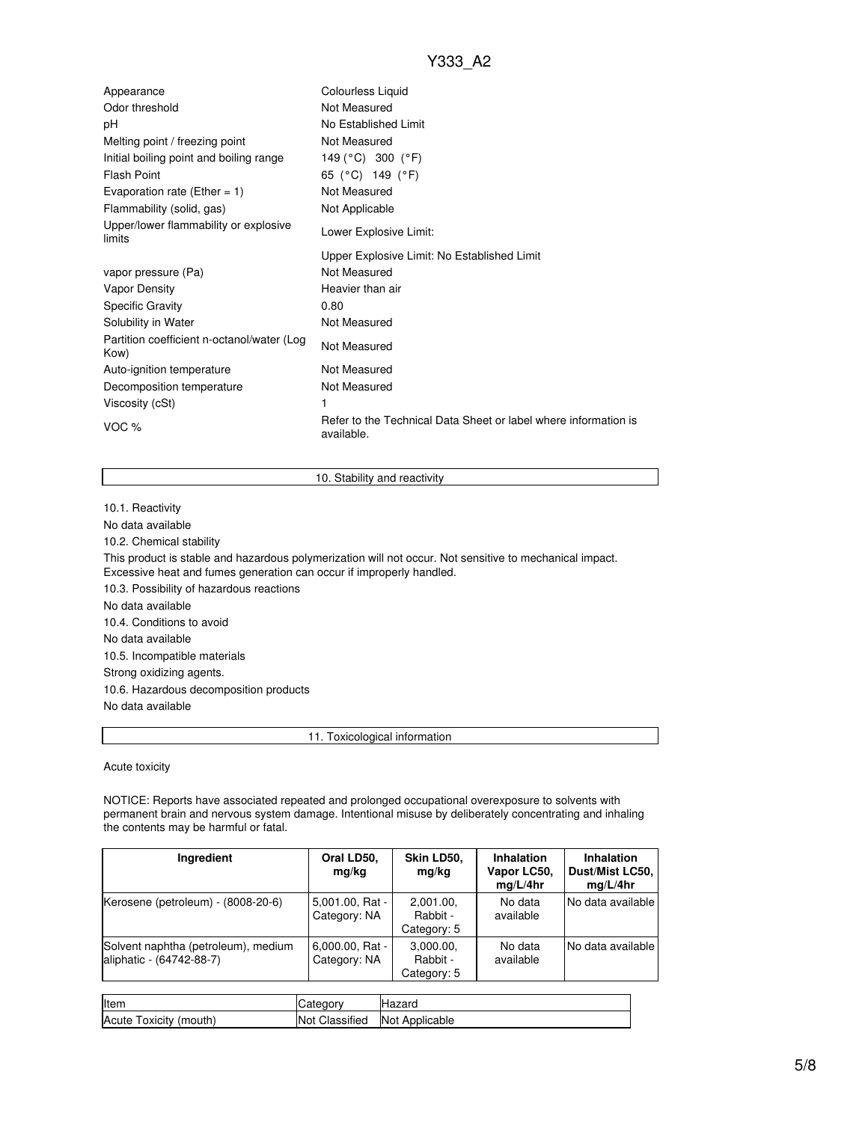| Appearance                                         | Colourless Liquid                                                             |
|----------------------------------------------------|-------------------------------------------------------------------------------|
| Odor threshold                                     | Not Measured                                                                  |
| рH                                                 | No Established Limit                                                          |
| Melting point / freezing point                     | Not Measured                                                                  |
| Initial boiling point and boiling range            | 149 (°C) 300 (°F)                                                             |
| <b>Flash Point</b>                                 | 65 (°C) 149 (°F)                                                              |
| Evaporation rate (Ether = $1$ )                    | Not Measured                                                                  |
| Flammability (solid, gas)                          | Not Applicable                                                                |
| Upper/lower flammability or explosive<br>limits    | Lower Explosive Limit:                                                        |
|                                                    | Upper Explosive Limit: No Established Limit                                   |
| vapor pressure (Pa)                                | Not Measured                                                                  |
| Vapor Density                                      | Heavier than air                                                              |
| <b>Specific Gravity</b>                            | 0.80                                                                          |
| Solubility in Water                                | Not Measured                                                                  |
| Partition coefficient n-octanol/water (Log<br>Kow) | Not Measured                                                                  |
| Auto-ignition temperature                          | Not Measured                                                                  |
| Decomposition temperature                          | Not Measured                                                                  |
| Viscosity (cSt)                                    | 1                                                                             |
| VOC %                                              | Refer to the Technical Data Sheet or label where information is<br>available. |

#### 10. Stability and reactivity

10.1. Reactivity

No data available

10.2. Chemical stability

This product is stable and hazardous polymerization will not occur. Not sensitive to mechanical impact. Excessive heat and fumes generation can occur if improperly handled.

10.3. Possibility of hazardous reactions

No data available

10.4. Conditions to avoid

No data available

10.5. Incompatible materials

Strong oxidizing agents.

10.6. Hazardous decomposition products

No data available

11. Toxicological information

Acute toxicity

NOTICE: Reports have associated repeated and prolonged occupational overexposure to solvents with permanent brain and nervous system damage. Intentional misuse by deliberately concentrating and inhaling the contents may be harmful or fatal.

| Ingredient                                                      | Oral LD50,<br>mg/kg               | Skin LD50,<br>mg/kg                  | Inhalation<br>Vapor LC50,<br>mq/L/4hr | <b>Inhalation</b><br>Dust/Mist LC50,<br>mq/L/4hr |
|-----------------------------------------------------------------|-----------------------------------|--------------------------------------|---------------------------------------|--------------------------------------------------|
| Kerosene (petroleum) - (8008-20-6)                              | 5,001.00, Rat -<br>Category: NA   | 2,001.00,<br>Rabbit -<br>Category: 5 | No data<br>available                  | No data available                                |
| Solvent naphtha (petroleum), medium<br>aliphatic - (64742-88-7) | $6,000.00, Rat -$<br>Category: NA | 3,000.00,<br>Rabbit -<br>Category: 5 | No data<br>available                  | No data available                                |

| Item                   | <b>ICategory</b> | Hazard         |
|------------------------|------------------|----------------|
| Acute Toxicity (mouth) | Not Classified   | Not Applicable |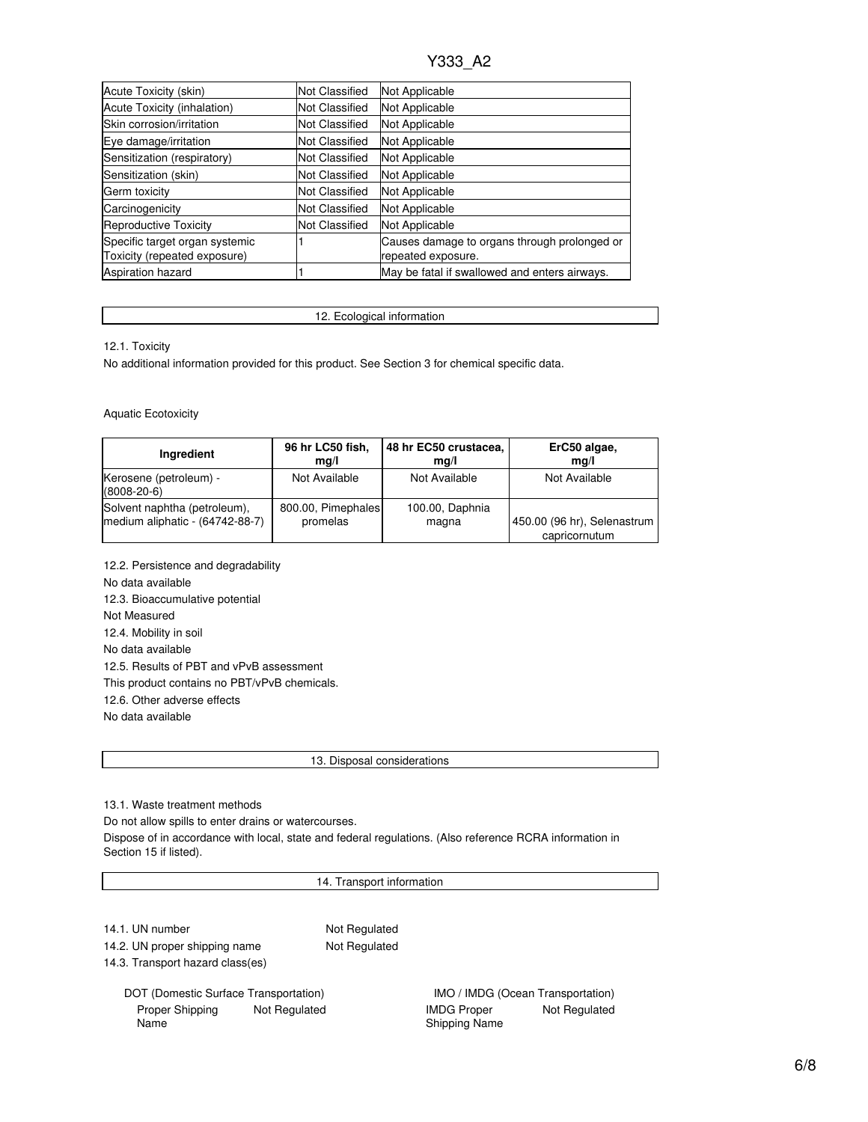| Acute Toxicity (skin)                                          | <b>Not Classified</b> | Not Applicable                                                     |
|----------------------------------------------------------------|-----------------------|--------------------------------------------------------------------|
| Acute Toxicity (inhalation)                                    | Not Classified        | Not Applicable                                                     |
| Skin corrosion/irritation                                      | <b>Not Classified</b> | Not Applicable                                                     |
| Eye damage/irritation                                          | <b>Not Classified</b> | Not Applicable                                                     |
| Sensitization (respiratory)                                    | <b>Not Classified</b> | Not Applicable                                                     |
| Sensitization (skin)                                           | <b>Not Classified</b> | Not Applicable                                                     |
| Germ toxicity                                                  | <b>Not Classified</b> | Not Applicable                                                     |
| Carcinogenicity                                                | <b>Not Classified</b> | Not Applicable                                                     |
| <b>Reproductive Toxicity</b>                                   | Not Classified        | Not Applicable                                                     |
| Specific target organ systemic<br>Toxicity (repeated exposure) |                       | Causes damage to organs through prolonged or<br>repeated exposure. |
| Aspiration hazard                                              |                       | May be fatal if swallowed and enters airways.                      |

12. Ecological information

12.1. Toxicity

No additional information provided for this product. See Section 3 for chemical specific data.

Aquatic Ecotoxicity

| Ingredient                                  | 96 hr LC50 fish,   | 48 hr EC50 crustacea, | ErC50 algae,                |
|---------------------------------------------|--------------------|-----------------------|-----------------------------|
|                                             | mq/l               | mq/l                  | ma/l                        |
| Kerosene (petroleum) -<br>$(8008 - 20 - 6)$ | Not Available      | Not Available         | Not Available               |
| Solvent naphtha (petroleum),                | 800.00, Pimephales | 100.00, Daphnia       | 450.00 (96 hr), Selenastrum |
| medium aliphatic - (64742-88-7)             | promelas           | magna                 | capricornutum               |

12.2. Persistence and degradability No data available 12.3. Bioaccumulative potential Not Measured 12.4. Mobility in soil No data available 12.5. Results of PBT and vPvB assessment This product contains no PBT/vPvB chemicals. 12.6. Other adverse effects No data available

13. Disposal considerations

13.1. Waste treatment methods

Do not allow spills to enter drains or watercourses.

Dispose of in accordance with local, state and federal regulations. (Also reference RCRA information in Section 15 if listed).

14. Transport information

14.1. UN number Not Regulated

14.2. UN proper shipping name Not Regulated

14.3. Transport hazard class(es)

DOT (Domestic Surface Transportation) **IMO / IMDG** (Ocean Transportation) Proper Shipping Name Not Regulated **IMDG** Proper

Shipping Name Not Regulated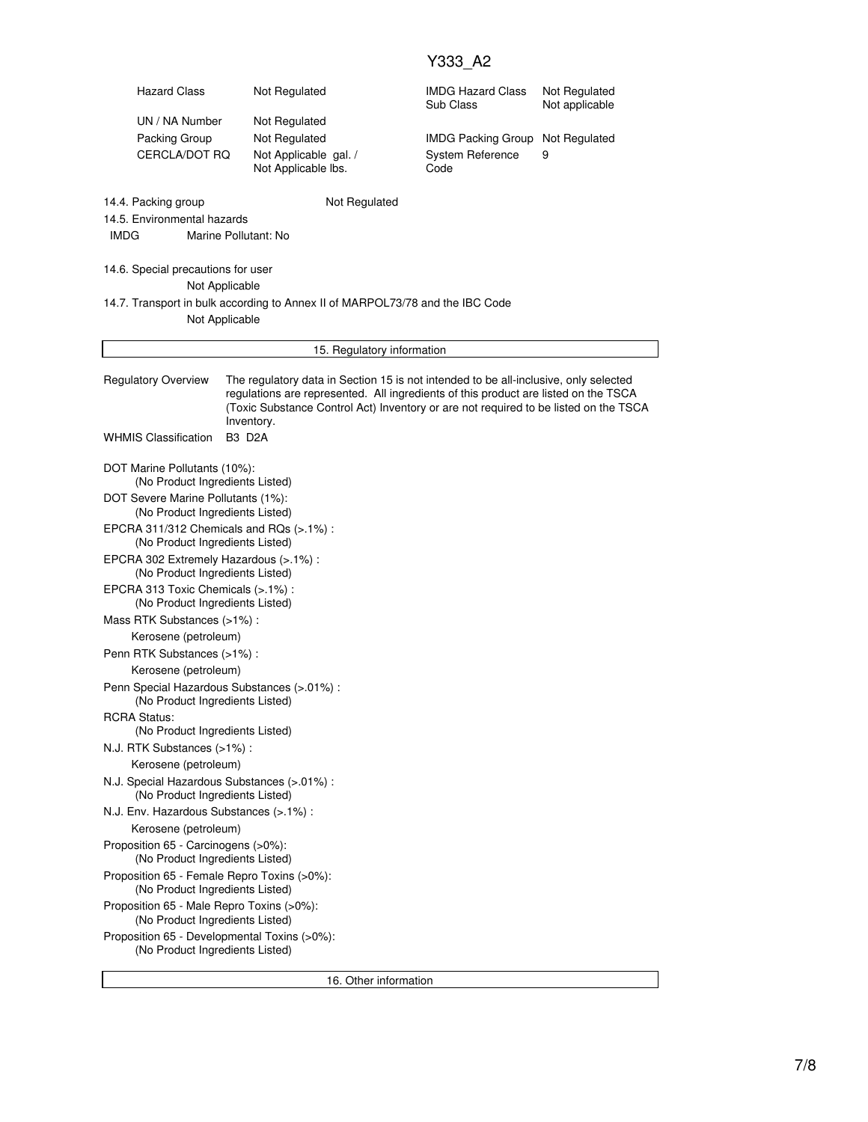| <b>Hazard Class</b>                                                                             | Not Regulated                                                                                                                                                                                                                                                                     |               | <b>IMDG Hazard Class</b><br>Sub Class | Not Regulated<br>Not applicable |  |  |  |  |
|-------------------------------------------------------------------------------------------------|-----------------------------------------------------------------------------------------------------------------------------------------------------------------------------------------------------------------------------------------------------------------------------------|---------------|---------------------------------------|---------------------------------|--|--|--|--|
| UN / NA Number                                                                                  | Not Regulated                                                                                                                                                                                                                                                                     |               |                                       |                                 |  |  |  |  |
| Packing Group                                                                                   | Not Regulated                                                                                                                                                                                                                                                                     |               | <b>IMDG Packing Group</b>             | Not Regulated                   |  |  |  |  |
| CERCLA/DOT RQ                                                                                   | Not Applicable gal. /<br>Not Applicable lbs.                                                                                                                                                                                                                                      |               | <b>System Reference</b><br>Code       | 9                               |  |  |  |  |
| 14.4. Packing group<br>14.5. Environmental hazards                                              |                                                                                                                                                                                                                                                                                   | Not Regulated |                                       |                                 |  |  |  |  |
| <b>IMDG</b>                                                                                     | Marine Pollutant: No                                                                                                                                                                                                                                                              |               |                                       |                                 |  |  |  |  |
| 14.6. Special precautions for user<br>Not Applicable                                            |                                                                                                                                                                                                                                                                                   |               |                                       |                                 |  |  |  |  |
| 14.7. Transport in bulk according to Annex II of MARPOL73/78 and the IBC Code<br>Not Applicable |                                                                                                                                                                                                                                                                                   |               |                                       |                                 |  |  |  |  |
| 15. Regulatory information                                                                      |                                                                                                                                                                                                                                                                                   |               |                                       |                                 |  |  |  |  |
| <b>Regulatory Overview</b>                                                                      | The regulatory data in Section 15 is not intended to be all-inclusive, only selected<br>regulations are represented. All ingredients of this product are listed on the TSCA<br>(Toxic Substance Control Act) Inventory or are not required to be listed on the TSCA<br>Inventory. |               |                                       |                                 |  |  |  |  |
| <b>WHMIS Classification</b>                                                                     | <b>B3 D2A</b>                                                                                                                                                                                                                                                                     |               |                                       |                                 |  |  |  |  |
| DOT Marine Pollutants (10%):<br>(No Product Ingredients Listed)                                 |                                                                                                                                                                                                                                                                                   |               |                                       |                                 |  |  |  |  |
| DOT Severe Marine Pollutants (1%):<br>(No Product Ingredients Listed)                           |                                                                                                                                                                                                                                                                                   |               |                                       |                                 |  |  |  |  |
| EPCRA 311/312 Chemicals and RQs (>.1%):<br>(No Product Ingredients Listed)                      |                                                                                                                                                                                                                                                                                   |               |                                       |                                 |  |  |  |  |
| EPCRA 302 Extremely Hazardous (>.1%) :<br>(No Product Ingredients Listed)                       |                                                                                                                                                                                                                                                                                   |               |                                       |                                 |  |  |  |  |
| EPCRA 313 Toxic Chemicals (>.1%) :<br>(No Product Ingredients Listed)                           |                                                                                                                                                                                                                                                                                   |               |                                       |                                 |  |  |  |  |
| Mass RTK Substances (>1%):                                                                      |                                                                                                                                                                                                                                                                                   |               |                                       |                                 |  |  |  |  |
| Kerosene (petroleum)                                                                            |                                                                                                                                                                                                                                                                                   |               |                                       |                                 |  |  |  |  |
| Penn RTK Substances (>1%):                                                                      |                                                                                                                                                                                                                                                                                   |               |                                       |                                 |  |  |  |  |
| Kerosene (petroleum)                                                                            |                                                                                                                                                                                                                                                                                   |               |                                       |                                 |  |  |  |  |
| Penn Special Hazardous Substances (>.01%) :<br>(No Product Ingredients Listed)                  |                                                                                                                                                                                                                                                                                   |               |                                       |                                 |  |  |  |  |
| <b>RCRA Status:</b><br>(No Product Ingredients Listed)                                          |                                                                                                                                                                                                                                                                                   |               |                                       |                                 |  |  |  |  |
| N.J. RTK Substances (>1%):                                                                      |                                                                                                                                                                                                                                                                                   |               |                                       |                                 |  |  |  |  |
| Kerosene (petroleum)                                                                            |                                                                                                                                                                                                                                                                                   |               |                                       |                                 |  |  |  |  |
| N.J. Special Hazardous Substances (>.01%) :<br>(No Product Ingredients Listed)                  |                                                                                                                                                                                                                                                                                   |               |                                       |                                 |  |  |  |  |
| N.J. Env. Hazardous Substances (>.1%) :                                                         |                                                                                                                                                                                                                                                                                   |               |                                       |                                 |  |  |  |  |
| Kerosene (petroleum)                                                                            |                                                                                                                                                                                                                                                                                   |               |                                       |                                 |  |  |  |  |
| Proposition 65 - Carcinogens (>0%):<br>(No Product Ingredients Listed)                          |                                                                                                                                                                                                                                                                                   |               |                                       |                                 |  |  |  |  |
| Proposition 65 - Female Repro Toxins (>0%):<br>(No Product Ingredients Listed)                  |                                                                                                                                                                                                                                                                                   |               |                                       |                                 |  |  |  |  |
| Proposition 65 - Male Repro Toxins (>0%):<br>(No Product Ingredients Listed)                    |                                                                                                                                                                                                                                                                                   |               |                                       |                                 |  |  |  |  |
| Proposition 65 - Developmental Toxins (>0%):<br>(No Product Ingredients Listed)                 |                                                                                                                                                                                                                                                                                   |               |                                       |                                 |  |  |  |  |

16. Other information